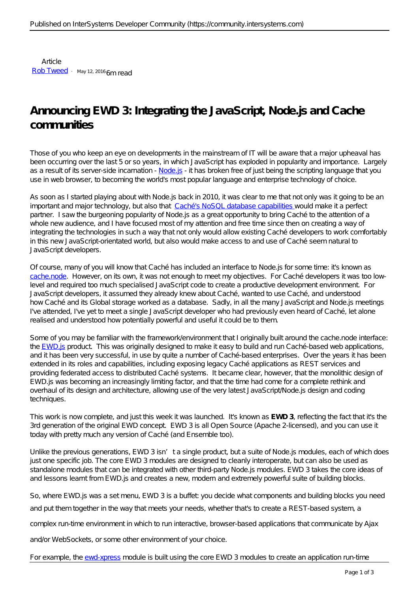Article [Rob Tweed](https://community.intersystems.com/user/rob-tweed) · May 12, 2016 6m read

# **Announcing EWD 3: Integrating the JavaScript, Node.js and Cache communities**

Those of you who keep an eye on developments in the mainstream of IT will be aware that a major upheaval has been occurring over the last 5 or so years, in which JavaScript has exploded in popularity and importance. Largely as a result of its server-side incarnation - [Node.js](https://nodejs.org) - it has broken free of just being the scripting language that you use in web browser, to becoming the world's most popular language and enterprise technology of choice.

As soon as I started playing about with Node.js back in 2010, it was clear to me that not only was it going to be an important and major technology, but also that [Caché's NoSQL database capabilities](http://www.mgateway.com/docs/universalNoSQL.pdf) would make it a perfect partner. I saw the burgeoning popularity of Node.js as a great opportunity to bring Caché to the attention of a whole new audience, and I have focused most of my attention and free time since then on creating a way of integrating the technologies in such a way that not only would allow existing Caché developers to work comfortably in this new JavaScript-orientated world, but also would make access to and use of Caché seem natural to JavaScript developers.

Of course, many of you will know that Caché has included an interface to Node.js for some time: it's known as [cache.node](http://docs.intersystems.com/latest/csp/docbook/DocBook.UI.Page.cls?KEY=BXJS). However, on its own, it was not enough to meet my objectives. For Caché developers it was too lowlevel and required too much specialised JavaScript code to create a productive development environment. For JavaScript developers, it assumed they already knew about Caché, wanted to use Caché, and understood how Caché and its Global storage worked as a database. Sadly, in all the many JavaScript and Node.js meetings I've attended, I've yet to meet a single JavaScript developer who had previously even heard of Caché, let alone realised and understood how potentially powerful and useful it could be to them.

Some of you may be familiar with the framework/environment that I originally built around the cache.node interface: the [EWD.js](http://ewdjs.com) product. This was originally designed to make it easy to build and run Caché-based web applications, and it has been very successful, in use by quite a number of Caché-based enterprises. Over the years it has been extended in its roles and capabilities, including exposing legacy Caché applications as REST services and providing federated access to distributed Caché systems. It became clear, however, that the monolithic design of EWD.js was becoming an increasingly limiting factor, and that the time had come for a complete rethink and overhaul of its design and architecture, allowing use of the very latest JavaScript/Node.js design and coding techniques.

This work is now complete, and just this week it was launched. It's known as *EWD 3*, reflecting the fact that it's the 3rd generation of the original EWD concept. EWD 3 is all Open Source (Apache 2-licensed), and you can use it today with pretty much any version of Caché (and Ensemble too).

Unlike the previous generations, EWD 3 isn't a single product, but a suite of Node.js modules, each of which does just one specific job. The core EWD 3 modules are designed to cleanly interoperate, but can also be used as standalone modules that can be integrated with other third-party Node.js modules. EWD 3 takes the core ideas of and lessons learnt from EWD.js and creates a new, modern and extremely powerful suite of building blocks.

So, where EWD.js was a setmenu, EWD 3 is a buffet you decide what components and building blocks you need and put them together in the way that meets your needs, whether that's to create a REST-based system, a

complex run-time environment in which to run interactive, browser-based applications that communicate by Ajax

and/or WebSockets, or some other environment of your choice.

For example, the [ewd-xpress](https://github.com/robtweed/ewd-xpress) module is built using the core EWD 3 modules to create an application run-time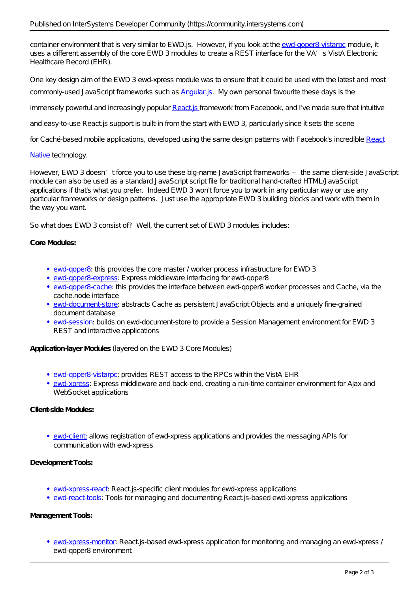container environment that is very similar to EWD.js. However, if you look at the [ewd-qoper8-vistarpc](https://github.com/robtweed/ewd-qoper8-vistarpc) module, it uses a different assembly of the core EWD 3 modules to create a REST interface for the VA's VistA Electronic Healthcare Record (EHR).

One key design aim of the EWD 3 *ewd-xpress* module was to ensure that it could be used with the latest and most commonly-used JavaScript frameworks such as [Angular.js](https://angularjs.org/). My own personal favourite these days is the

immensely powerful and increasingly popular Reactis framework from Facebook, and I've made sure that intuitive

and easy-to-use React js support is built-in from the start with EWD 3, particularly since it sets the scene

for Caché-based mobile applications, developed using the same design patterns with Facebook's incredible [React](https://facebook.github.io/react-native/)

# [Native](https://facebook.github.io/react-native/) technology.

However, EWD 3 doesn't force you to use these big-name JavaScript frameworks – the same client-side JavaScript module can also be used as a standard JavaScript script file for traditional hand-crafted HTML/JavaScript applications if that's what you prefer. Indeed EWD 3 won't force you to work in any particular way or use any particular frameworks or design patterns. Just use the appropriate EWD 3 building blocks and work with them in the way you want.

So what does EWD 3 consist of? Well, the current set of EWD 3 modules includes:

#### **Core Modules:**

- [ewd-qoper8:](https://github.com/robtweed/ewd-qoper8) this provides the core master / worker process infrastructure for EWD 3
- [ewd-qoper8-express](https://github.com/robtweed/ewd-qoper8-express): Express middleware interfacing for ewd-qoper8
- **[ewd-qoper8-cache:](https://github.com/robtweed/ewd-qoper8-cache)** this provides the interface between ewd-qoper8 worker processes and Cache, via the cache.node interface
- [ewd-document-store](https://github.com/robtweed/ewd-document-store): abstracts Cache as persistent JavaScript Objects and a uniquely fine-grained document database
- [ewd-session](https://github.com/robtweed/ewd-session): builds on ewd-document-store to provide a Session Management environment for EWD 3 REST and interactive applications

**Application-layer Modules** (layered on the EWD 3 Core Modules)

- [ewd-qoper8-vistarpc](https://github.com/robtweed/ewd-qoper8-vistarpc): provides REST access to the RPCs within the VistA EHR
- [ewd-xpress:](https://github.com/robtweed/ewd-xpress) Express middleware and back-end, creating a run-time container environment for Ajax and WebSocketapplications

# **Client-side Modules:**

[ewd-client:](https://github.com/robtweed/ewd-client) allows registration of ewd-xpress applications and provides the messaging APIs for communication with ewd-xpress

## **Development Tools:**

- [ewd-xpress-react:](https://github.com/robtweed/ewd-xpress-react) React is-specific client modules for ewd-xpress applications
- [ewd-react-tools](https://github.com/robtweed/ewd-react-tools): Tools for managing and documenting React is-based ewd-xpress applications

### **Management Tools:**

• [ewd-xpress-monitor:](https://github.com/robtweed/ewd-xpress-monitor) React is-based ewd-xpress application for monitoring and managing an ewd-xpress / ewd-qoper8 environment